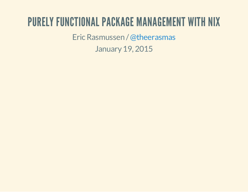### PURELY FUNCTIONAL PACKAGE MANAGEMENT WITH NIX

Eric Rasmussen / @theerasmas

January19, 2015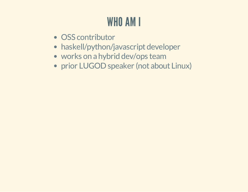# WHO AM I

- OSS contributor
- haskell/python/javascript developer
- works on a hybrid dev/ops team
- prior LUGOD speaker (not about Linux)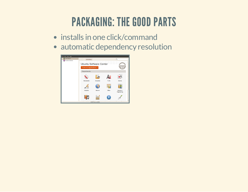### PACKAGING: THE GOOD PARTS

- installs in one click/command
- automatic dependency resolution

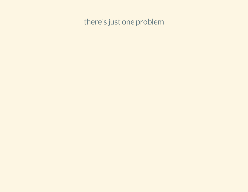there's just one problem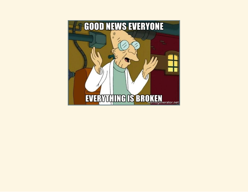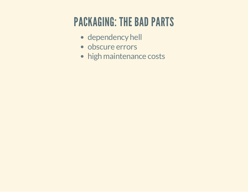### PACKAGING: THE BAD PARTS

- dependency hell
- obscure errors
- high maintenance costs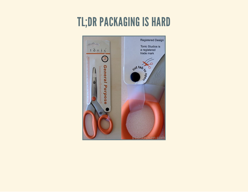### **TL;DR PACKAGING IS HARD**

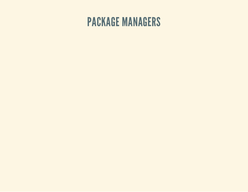#### PACKAGE MANAGERS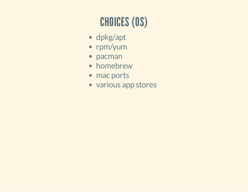# CHOICES (OS)

- dpkg/apt
- rpm/yum
- pacman
- homebrew
- mac ports
- various app stores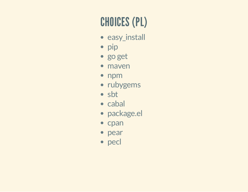# **CHOICES (PL)**

- · easy\_install
- · pip
- · go get
- · maven
- npm
- · rubygems
- · sbt
- · cabal
- · package.el
- cpan
- pear
- pecl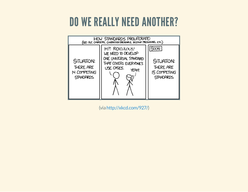### DO WE REALLY NEED ANOTHER?



(viahttp://xkcd.com/927/)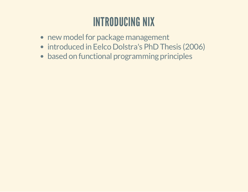### INTRODUCING NIX

- new model for package management
- introduced in Eelco Dolstra's PhD Thesis (2006)
- based on functional programming principles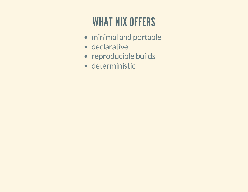## WHAT NIX OFFERS

- minimal and portable
- declarative
- reproducible builds
- deterministic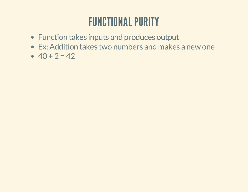### FUNCTIONAL PURITY

- Function takes inputs and produces output
- Ex: Addition takes two numbers and makes a new one
- $-40 + 2 = 42$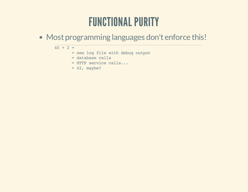### FUNCTIONAL PURITY

Most programming languages don't enforce this!

 $40 + 2 =$ = new log file with debug output = database calls = HTTP service calls...  $= 42$ , maybe?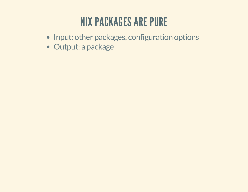### NIX PACKAGES ARE PURE

- Input: other packages, configuration options
- Output: a package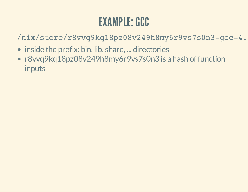### EXAMPLE: GCC

/nix/store/r8vvq9kq18pz08v249h8my6r9vs7s0n3-gcc-4.3.6/

- inside the prefix: bin, lib, share, ... directories
- r8vvq9kq18pz08v249h8my6r9vs7s0n3 is a hash of function inputs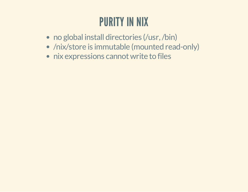### PURITY IN NIX

- no global install directories (/usr, /bin)
- /nix/store is immutable (mounted read-only)
- nix expressions cannot write to files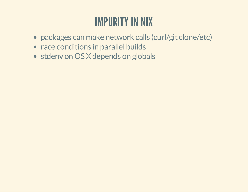### IMPURITY IN NIX

- packages can make network calls (curl/git clone/etc)
- race conditions in parallel builds
- stdenv on OS X depends on globals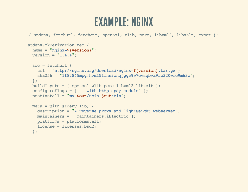#### EXAMPLE: NGINX

```
{ stdenv, fetchurl, fetchgit, openssl, zlib, pcre, libxml2, libxslt, expat }:
stdenv.mkDerivation rec {
  name = "nginx-${version}";
 version = "1.4.4";
  src = fetchurl {
   url = "http://nginx.org/download/nginx-${version}.tar.gz";
    sha256 = "1f82845mpgmhvm151fhn2cnqjggw9w7cvsqbva9rb320wmc9m63w";
 };
 buildInputs = [ openssl zlib pcre libxml2 libxslt ];
  configureFlags = [ "--with-http_spdy_module" ];
  postInstall = "mv $out/sbin $out/bin";
 meta = with stdenv.lib; {
   description = "A reverse proxy and lightweight webserver";
   maintainers = [ maintainers.iElectric ];
   platforms = platforms.all;
    license = licenses.bsd2;
  };
```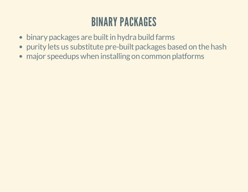### BINARY PACKAGES

- binary packages are built in hydra build farms
- purity lets us substitute pre-built packages based on the hash
- major speedups when installing on common platforms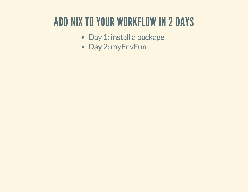### ADD NIX TO YOUR WORKFLOW IN 2 DAYS

- Day 1: install a package
- Day 2: myEnvFun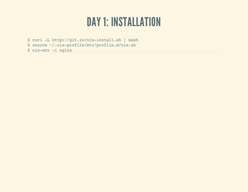#### **DAY 1: INSTALLATION**

\$ curl -L http://git.io/nix-install.sh | bash<br>\$ source ~/.nix-profile/etc/profile.d/nix.sh<br>\$ nix-env -i nginx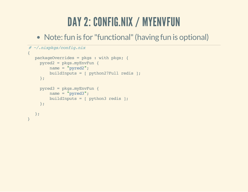### DAY 2: CONFIG.NIX / MYENVFUN

• Note: fun is for "functional" (having fun is optional)

```
# ~/.nixpkgs/config.nix
{
  packageOverrides = pkgs : with pkgs; {
    pyred2 = pkgs.myEnvFun {
        name = "pyred2";
        buildInputs = [ python27Full redis ];
    };
    pyred3 = pkgs.myEnvFun {
        name = "pyred3";
        buildInputs = [ python3 redis ];
    };
  };
}
```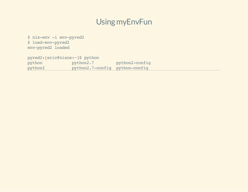#### Using myEnvFun

\$ nix-env -i env-pyred2 \$ load-env-pyred2 env-pyred2 loaded

pyred2:[eric@nixos:~]\$ python python python2.7 python2-config python2 python2.7-config python-config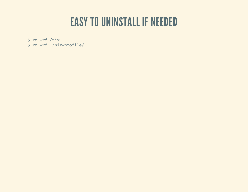#### EASY TO UNINSTALL IF NEEDED

\$ rm -rf /nix \$ rm -rf ~/nix-profile/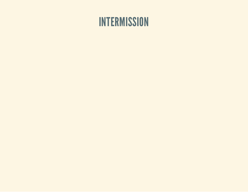#### **INTERMISSION**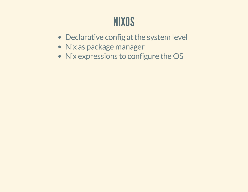### NIXOS

- Declarative config at the system level
- Nix as package manager
- Nix expressions to configure the OS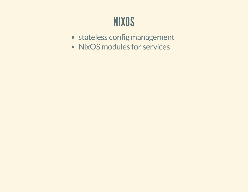### NIXOS

- stateless config management
- NixOS modules for services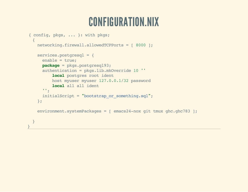#### CONFIGURATION.NIX

```
{ config, pkgs, ... }: with pkgs;
  {
   networking.firewall.allowedTCPPorts = [ 8000 ];
   services.postgresql = {
     enable = true;
     package = pkgs.postgresql93;
     authentication = pkgs.lib.mkOverride 10 ''
          local postgres root ident
         host myuser myuser 127.0.0.1/32 password
         local all all ident
      '';
     initialScript = "bootstrap_or_something.sql";
   };
   environment.systemPackages = [ emacs24-nox git tmux ghc.ghc783 ];
  }
}
```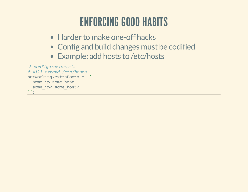### ENFORCING GOOD HABITS

- Harder to make one-off hacks
- Config and build changes must be codified
- Example: add hosts to /etc/hosts

```
# configuration.nix
# will extend /etc/hosts
networking.extraHosts = ''
 some ip some host
 some_ip2 some_host2
'';
```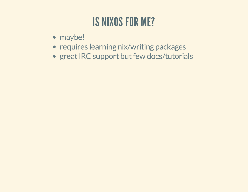### IS NIXOS FOR ME?

- maybe!
- requires learning nix/writing packages
- great IRC support but few docs/tutorials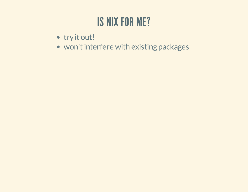### **IS NIX FOR ME?**

- · try it out!
- won't interfere with existing packages